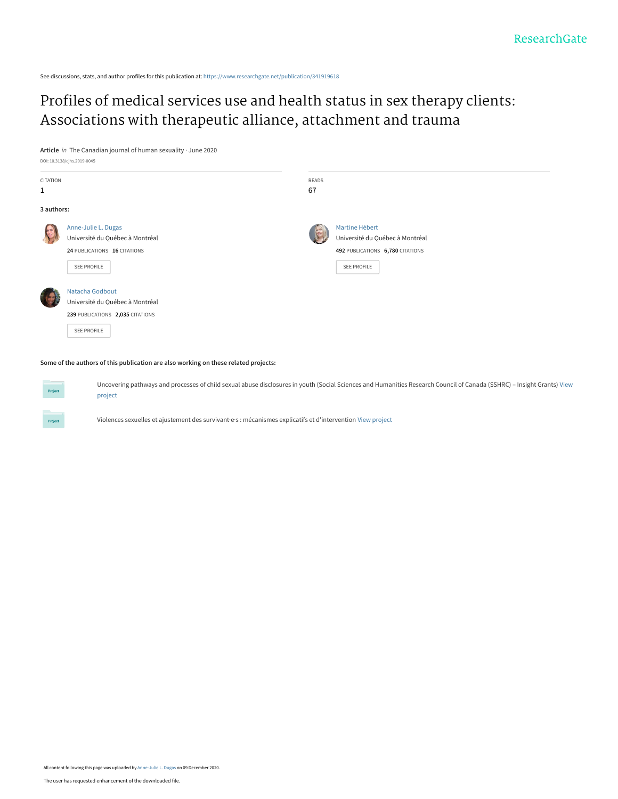See discussions, stats, and author profiles for this publication at: [https://www.researchgate.net/publication/341919618](https://www.researchgate.net/publication/341919618_Profiles_of_medical_services_use_and_health_status_in_sex_therapy_clients_Associations_with_therapeutic_alliance_attachment_and_trauma?enrichId=rgreq-8b76a59c51081df5aa806a931fd3d02b-XXX&enrichSource=Y292ZXJQYWdlOzM0MTkxOTYxODtBUzo5NjY5NDk2NDMyNDc2MTZAMTYwNzU1MDE2ODUwMQ%3D%3D&el=1_x_2&_esc=publicationCoverPdf)

[Profiles of medical services use and health status in sex therapy clients:](https://www.researchgate.net/publication/341919618_Profiles_of_medical_services_use_and_health_status_in_sex_therapy_clients_Associations_with_therapeutic_alliance_attachment_and_trauma?enrichId=rgreq-8b76a59c51081df5aa806a931fd3d02b-XXX&enrichSource=Y292ZXJQYWdlOzM0MTkxOTYxODtBUzo5NjY5NDk2NDMyNDc2MTZAMTYwNzU1MDE2ODUwMQ%3D%3D&el=1_x_3&_esc=publicationCoverPdf) Associations with therapeutic alliance, attachment and trauma

**Article** in The Canadian journal of human sexuality · June 2020

DOI: 10.3138/cjhs.2019-0045

Project

| CITATION     |                                  | READS |                                  |
|--------------|----------------------------------|-------|----------------------------------|
| $\mathbf{1}$ |                                  | 67    |                                  |
| 3 authors:   |                                  |       |                                  |
|              | Anne-Julie L. Dugas              |       | Martine Hébert                   |
|              | Université du Québec à Montréal  |       | Université du Québec à Montréal  |
|              | 24 PUBLICATIONS 16 CITATIONS     |       | 492 PUBLICATIONS 6,780 CITATIONS |
|              | SEE PROFILE                      |       | SEE PROFILE                      |
|              | Natacha Godbout                  |       |                                  |
|              | Université du Québec à Montréal  |       |                                  |
|              | 239 PUBLICATIONS 2,035 CITATIONS |       |                                  |
|              | SEE PROFILE                      |       |                                  |

**Some of the authors of this publication are also working on these related projects:**

[Uncovering pathways and processes of child sexual abuse disclosures in youth \(Social Sciences and Humanities Research Council of Canada \(SSHRC\) – Insight Grants\)](https://www.researchgate.net/project/Uncovering-pathways-and-processes-of-child-sexual-abuse-disclosures-in-youth-Social-Sciences-and-Humanities-Research-Council-of-Canada-SSHRC-Insight-Grants?enrichId=rgreq-8b76a59c51081df5aa806a931fd3d02b-XXX&enrichSource=Y292ZXJQYWdlOzM0MTkxOTYxODtBUzo5NjY5NDk2NDMyNDc2MTZAMTYwNzU1MDE2ODUwMQ%3D%3D&el=1_x_9&_esc=publicationCoverPdf) View project

Violences sexuelles et ajustement des survivant·e·s : mécanismes explicatifs et d'intervention [View project](https://www.researchgate.net/project/Violences-sexuelles-et-ajustement-des-survivantes-mecanismes-explicatifs-et-dintervention?enrichId=rgreq-8b76a59c51081df5aa806a931fd3d02b-XXX&enrichSource=Y292ZXJQYWdlOzM0MTkxOTYxODtBUzo5NjY5NDk2NDMyNDc2MTZAMTYwNzU1MDE2ODUwMQ%3D%3D&el=1_x_9&_esc=publicationCoverPdf)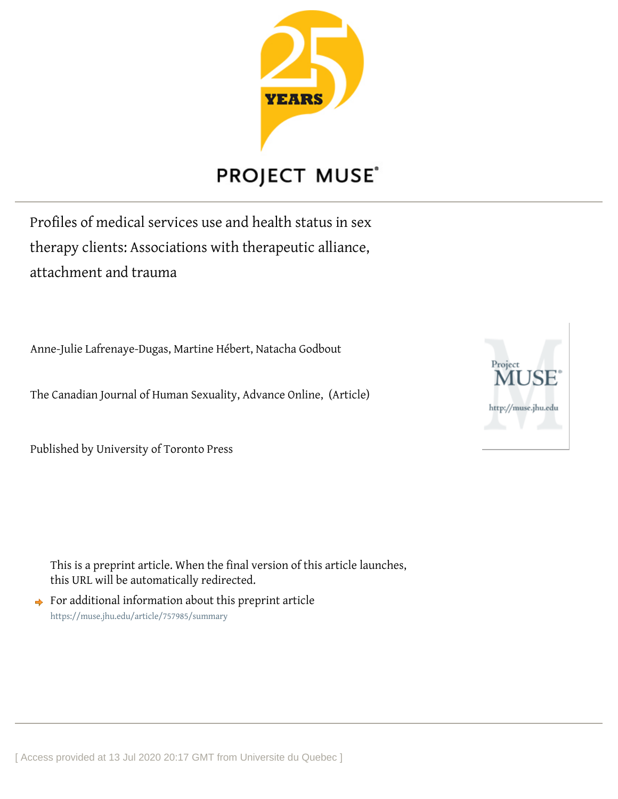

## **PROJECT MUSE®**

Profiles of medical services use and health status in sex therapy clients: Associations with therapeutic alliance, attachment and trauma

Anne-Julie Lafrenaye-Dugas, Martine Hébert, Natacha Godbout

The Canadian Journal of Human Sexuality, Advance Online, (Article)

Published by University of Toronto Press

This is a preprint article. When the final version of this article launches, this URL will be automatically redirected.

 $\rightarrow$  For additional information about this preprint article <https://muse.jhu.edu/article/757985/summary>

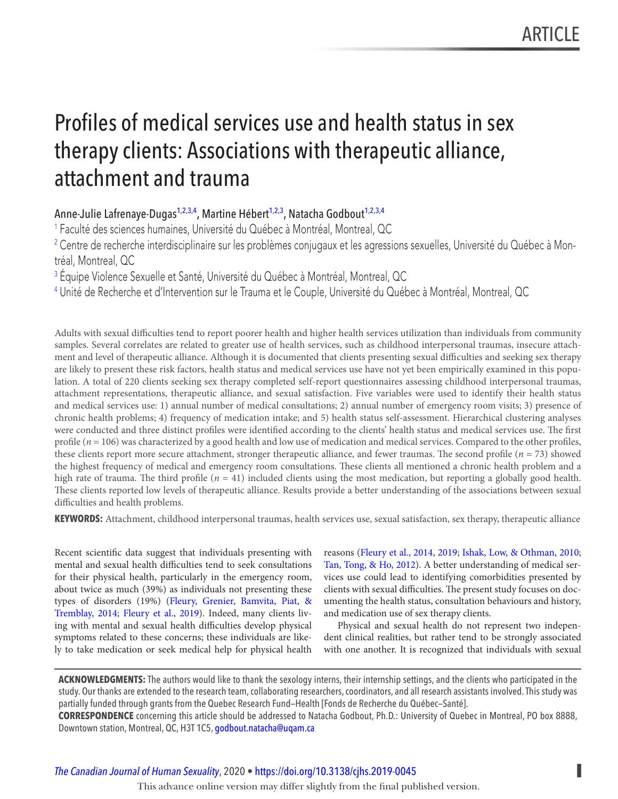# <span id="page-2-0"></span> Profiles of medical services use and health status in sex therapy clients: Associations with therapeutic alliance, attachment and trauma

Anne-Julie Lafrenaye-Dugas<sup>1,2,3,4</sup>, Martine Hébert<sup>1,2,3</sup>, Natacha Godbout<sup>1,2,3,4</sup>

1 Faculté des sciences humaines, Université du Québec à Montréal, Montreal, QC

2 Centre de recherche interdisciplinaire sur les problèmes conjugaux et les agressions sexuelles, Université du Québec à Montréal, Montreal, QC

<sup>3</sup> Équipe Violence Sexuelle et Santé, Université du Québec à Montréal, Montreal, QC

4 Unité de Recherche et d'Intervention sur le Trauma et le Couple, Université du Québec à Montréal, Montreal, QC

Adults with sexual difficulties tend to report poorer health and higher health services utilization than individuals from community samples. Several correlates are related to greater use of health services, such as childhood interpersonal traumas, insecure attachment and level of therapeutic alliance. Although it is documented that clients presenting sexual difficulties and seeking sex therapy are likely to present these risk factors, health status and medical services use have not yet been empirically examined in this population. A total of 220 clients seeking sex therapy completed self-report questionnaires assessing childhood interpersonal traumas, attachment representations, therapeutic alliance, and sexual satisfaction. Five variables were used to identify their health status and medical services use: 1) annual number of medical consultations; 2) annual number of emergency room visits; 3) presence of chronic health problems; 4) frequency of medication intake; and 5) health status self-assessment. Hierarchical clustering analyses were conducted and three distinct profiles were identified according to the clients' health status and medical services use. The first profile ( $n = 106$ ) was characterized by a good health and low use of medication and medical services. Compared to the other profiles, these clients report more secure attachment, stronger therapeutic alliance, and fewer traumas. The second profile ( $n = 73$ ) showed the highest frequency of medical and emergency room consultations. These clients all mentioned a chronic health problem and a high rate of trauma. The third profile ( $n = 41$ ) included clients using the most medication, but reporting a globally good health. These clients reported low levels of therapeutic alliance. Results provide a better understanding of the associations between sexual difficulties and health problems.

**KEYWORDS:** Attachment, childhood interpersonal traumas, health services use, sexual satisfaction, sex therapy, therapeutic alliance

 Recent scientific data suggest that individuals presenting with reasons ([Fleury et al., 2014](#page-12-0), [2019](#page-12-0); [Ishak, Low, & Othman, 2010;](#page-12-0) mental and sexual health difficulties tend to seek consultations [Tan, Tong, & Ho, 2012\)](#page-13-0). A better understanding of medical serfor their physical health, particularly in the emergency room, vices use could lead to identifying comorbidities presented by about twice as much (39%) as individuals not presenting these clients with sexual difficulties. The present study focuses on doctypes of disorders (19%) ([Fleury, Grenier, Bamvita, Piat, &](#page-12-0) umenting the health status, consultation behaviours and history, [Tremblay, 2014](#page-12-0); [Fleury et al., 2019](#page-12-0)). Indeed, many clients liv- and medication use of sex therapy clients. ing with mental and sexual health difficulties develop physical Physical and sexual health do not represent two indepensymptoms related to these concerns; these individuals are like- dent clinical realities, but rather tend to be strongly associated ly to take medication or seek medical help for physical health with one another. It is recognized that individuals with sexual

**ACKNOWLEDGMENTS:** The authors would like to thank the sexology interns, their internship settings, and the clients who participated in the study. Our thanks are extended to the research team, collaborating researchers, coordinators, and all research assistants involved. This study was partially funded through grants from the Quebec Research Fund—Health [Fonds de Recherche du Québec—Santé]. **CORRESPONDENCE** concerning this article should be addressed to Natacha Godbout, Ph.D.: University of Quebec in Montreal, PO box 8888, Downtown station, Montreal, QC, H3T 1C5, [godbout.natacha@uqam.ca](mailto:godbout.natacha@uqam.ca) 

*[The Canadian Journal of Human Sexuality](https://www.utpjournals.press/loi/cjhs)*, 2020 • <https://doi.org/10.3138/cjhs.2019-0045>**▌**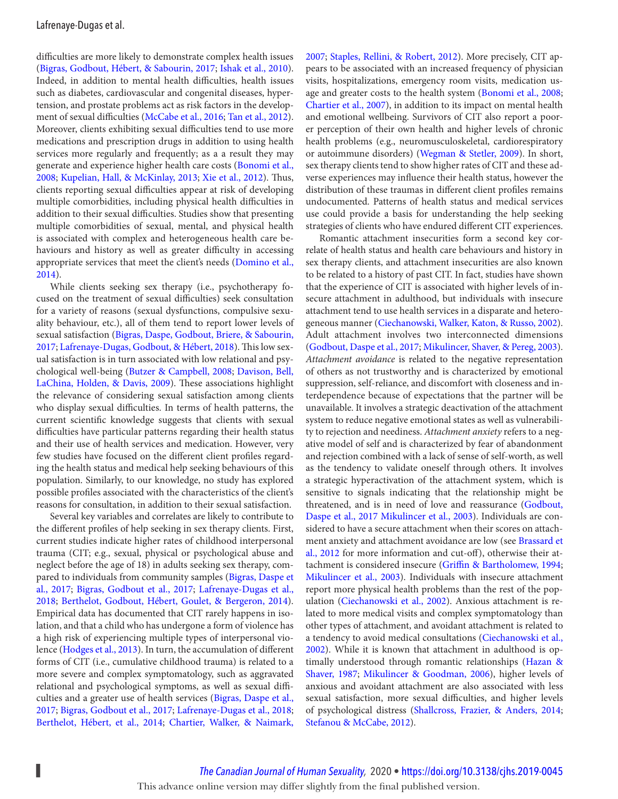<span id="page-3-0"></span>difficulties are more likely to demonstrate complex health issues ([Bigras, Godbout, Hébert, & Sabourin, 2017](#page-11-0); [Ishak et al., 2010](#page-12-0)). Indeed, in addition to mental health difficulties, health issues such as diabetes, cardiovascular and congenital diseases, hypertension, and prostate problems act as risk factors in the development of sexual difficulties ([McCabe et al., 2016](#page-13-0); [Tan et al., 2012](#page-13-0)). Moreover, clients exhibiting sexual difficulties tend to use more medications and prescription drugs in addition to using health services more regularly and frequently; as a a result they may generate and experience higher health care costs (Bonomi et al., [2008](#page-11-0); [Kupelian, Hall, & McKinlay, 2013](#page-12-0); [Xie et al., 2012](#page-13-0)). Thus, clients reporting sexual difficulties appear at risk of developing multiple comorbidities, including physical health difficulties in addition to their sexual difficulties. Studies show that presenting multiple comorbidities of sexual, mental, and physical health is associated with complex and heterogeneous health care behaviours and history as well as greater difficulty in accessing appropriate services that meet the client's needs ([Domino et al.,](#page-12-0)  $2014$ .

While clients seeking sex therapy (i.e., psychotherapy focused on the treatment of sexual difficulties) seek consultation for a variety of reasons (sexual dysfunctions, compulsive sexuality behaviour, etc.), all of them tend to report lower levels of sexual satisfaction ([Bigras, Daspe, Godbout, Briere, & Sabourin,](#page-11-0) [2017](#page-11-0); [Lafrenaye-Dugas, Godbout, & Hébert, 2018](#page-12-0)). This low sexual satisfaction is in turn associated with low relational and psychological well-being ([Butzer & Campbell, 2008;](#page-11-0) [Davison, Bell,](#page-12-0) [LaChina, Holden, & Davis, 2009\)](#page-12-0). These associations highlight the relevance of considering sexual satisfaction among clients who display sexual difficulties. In terms of health patterns, the current scientific knowledge suggests that clients with sexual difficulties have particular patterns regarding their health status and their use of health services and medication. However, very few studies have focused on the different client profiles regarding the health status and medical help seeking behaviours of this population. Similarly, to our knowledge, no study has explored possible profiles associated with the characteristics of the client's reasons for consultation, in addition to their sexual satisfaction.

Several key variables and correlates are likely to contribute to the different profiles of help seeking in sex therapy clients. First, current studies indicate higher rates of childhood interpersonal trauma (CIT; e.g., sexual, physical or psychological abuse and neglect before the age of 18) in adults seeking sex therapy, compared to individuals from community samples ([Bigras, Daspe et](#page-11-0)  [al., 2017](#page-11-0); [Bigras, Godbout et al., 2017](#page-11-0); [Lafrenaye-Dugas et al.,](#page-12-0) [2018](#page-12-0); [Berthelot, Godbout, Hébert, Goulet, & Bergeron, 2014](#page-11-0)). Empirical data has documented that CIT rarely happens in isolation, and that a child who has undergone a form of violence has a high risk of experiencing multiple types of interpersonal vio-lence ([Hodges et al., 2013](#page-12-0)). In turn, the accumulation of different forms of CIT (i.e., cumulative childhood trauma) is related to a more severe and complex symptomatology, such as aggravated relational and psychological symptoms, as well as sexual difficulties and a greater use of health services ([Bigras, Daspe et al.,](#page-11-0) [2017](#page-11-0); [Bigras, Godbout et al., 2017](#page-11-0); [Lafrenaye-Dugas et al., 2018;](#page-12-0) [Berthelot, Hébert, et al., 2014](#page-11-0); [Chartier, Walker, & Naimark,](#page-11-0)

[2007](#page-11-0); [Staples, Rellini, & Robert, 2012](#page-13-0)). More precisely, CIT appears to be associated with an increased frequency of physician visits, hospitalizations, emergency room visits, medication usage and greater costs to the health system ([Bonomi et al., 2008](#page-11-0); [Chartier et al., 2007](#page-11-0)), in addition to its impact on mental health and emotional wellbeing. Survivors of CIT also report a poorer perception of their own health and higher levels of chronic health problems (e.g., neuromusculoskeletal, cardiorespiratory or autoimmune disorders) ([Wegman & Stetler, 2009](#page-13-0)). In short, sex therapy clients tend to show higher rates of CIT and these adverse experiences may influence their health status, however the distribution of these traumas in different client profiles remains undocumented. Patterns of health status and medical services use could provide a basis for understanding the help seeking strategies of clients who have endured different CIT experiences.

Romantic attachment insecurities form a second key correlate of health status and health care behaviours and history in sex therapy clients, and attachment insecurities are also known to be related to a history of past CIT. In fact, studies have shown that the experience of CIT is associated with higher levels of insecure attachment in adulthood, but individuals with insecure attachment tend to use health services in a disparate and heterogeneous manner ([Ciechanowski, Walker, Katon, & Russo, 2002](#page-11-0)). Adult attachment involves two interconnected dimensions ( [Godbout, Daspe et al., 2017](#page-12-0); [Mikulincer, Shaver, & Pereg, 2003](#page-13-0)). Attachment avoidance is related to the negative representation of others as not trustworthy and is characterized by emotional suppression, self-reliance, and discomfort with closeness and interdependence because of expectations that the partner will be unavailable. It involves a strategic deactivation of the attachment system to reduce negative emotional states as well as vulnerability to rejection and neediness. Attachment anxiety refers to a negative model of self and is characterized by fear of abandonment and rejection combined with a lack of sense of self-worth, as well as the tendency to validate oneself through others. It involves a strategic hyperactivation of the attachment system, which is sensitive to signals indicating that the relationship might be threatened, and is in need of love and reassurance ([Godbout,](#page-12-0) [Daspe et al., 2017](#page-12-0) [Mikulincer et al., 2003](#page-13-0)). Individuals are considered to have a secure attachment when their scores on attachment anxiety and attachment avoidance are low (see [Brassard et](#page-11-0)  [al., 2012](#page-11-0) for more information and cut-off), otherwise their attachment is considered insecure (Griffin & Bartholomew, 1994; [Mikulincer et al., 2003](#page-13-0)). Individuals with insecure attachment report more physical health problems than the rest of the population ([Ciechanowski et al., 2002](#page-11-0)). Anxious attachment is related to more medical visits and complex symptomatology than other types of attachment, and avoidant attachment is related to a tendency to avoid medical consultations (Ciechanowski et al., [2002](#page-11-0)). While it is known that attachment in adulthood is optimally understood through romantic relationships [\(Hazan &](#page-12-0) [Shaver, 1987](#page-12-0); [Mikulincer & Goodman, 2006](#page-13-0)), higher levels of anxious and avoidant attachment are also associated with less sexual satisfaction, more sexual difficulties, and higher levels of psychological distress ([Shallcross, Frazier, & Anders, 2014;](#page-13-0) [Stefanou & McCabe, 2012](#page-13-0)).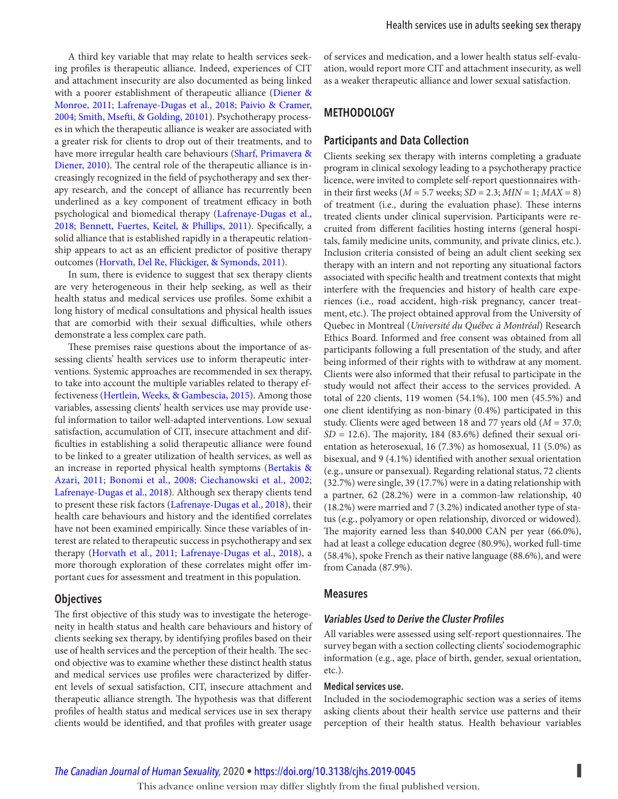<span id="page-4-0"></span>A third key variable that may relate to health services seeking profiles is therapeutic alliance. Indeed, experiences of CIT and attachment insecurity are also documented as being linked with a poorer establishment of therapeutic alliance ([Diener &](#page-12-0) [Monroe, 2011](#page-12-0); [Lafrenaye-Dugas et al., 2018](#page-12-0); [Paivio & Cramer,](#page-13-0)  [2004](#page-13-0); [Smith, Msefti, & Golding, 2010](#page-13-0)1). Psychotherapy processes in which the therapeutic alliance is weaker are associated with a greater risk for clients to drop out of their treatments, and to have more irregular health care behaviours ([Sharf, Primavera &](#page-13-0) [Diener, 2010](#page-13-0)). The central role of the therapeutic alliance is increasingly recognized in the field of psychotherapy and sex therapy research, and the concept of alliance has recurrently been underlined as a key component of treatment efficacy in both psychological and biomedical therapy [\(Lafrenaye-Dugas et al.,](#page-12-0) [2018](#page-12-0); [Bennett, Fuertes, Keitel, & Phillips, 2011](#page-11-0)). Specifically, a solid alliance that is established rapidly in a therapeutic relationship appears to act as an efficient predictor of positive therapy outcomes ([Horvath, Del Re, Flückiger, & Symonds, 2011\)](#page-12-0).

In sum, there is evidence to suggest that sex therapy clients are very heterogeneous in their help seeking, as well as their health status and medical services use profiles. Some exhibit a long history of medical consultations and physical health issues that are comorbid with their sexual difficulties, while others demonstrate a less complex care path.

 These premises raise questions about the importance of assessing clients' health services use to inform therapeutic interventions. Systemic approaches are recommended in sex therapy, to take into account the multiple variables related to therapy effectiveness ([Hertlein, Weeks, & Gambescia, 2015](#page-12-0)). Among those variables, assessing clients' health services use may provide useful information to tailor well-adapted interventions. Low sexual satisfaction, accumulation of CIT, insecure attachment and difficulties in establishing a solid therapeutic alliance were found to be linked to a greater utilization of health services, as well as an increase in reported physical health symptoms ([Bertakis &](#page-11-0) [Azari, 2011](#page-11-0); [Bonomi et al., 2008](#page-11-0); [Ciechanowski et al., 2002](#page-11-0); [Lafrenaye-Dugas et al., 2018](#page-12-0)). Although sex therapy clients tend to present these risk factors ([Lafrenaye-Dugas et al., 2018](#page-12-0)), their health care behaviours and history and the identified correlates have not been examined empirically. Since these variables of interest are related to therapeutic success in psychotherapy and sex therapy ([Horvath et al., 2011](#page-12-0); [Lafrenaye-Dugas et al., 2018](#page-12-0)), a more thorough exploration of these correlates might offer important cues for assessment and treatment in this population.

#### **Objectives**

The first objective of this study was to investigate the heterogeneity in health status and health care behaviours and history of clients seeking sex therapy, by identifying profiles based on their use of health services and the perception of their health. The second objective was to examine whether these distinct health status and medical services use profiles were characterized by different levels of sexual satisfaction, CIT, insecure attachment and therapeutic alliance strength. The hypothesis was that different profiles of health status and medical services use in sex therapy clients would be identified, and that profiles with greater usage

of services and medication, and a lower health status self-evaluation, would report more CIT and attachment insecurity, as well as a weaker therapeutic alliance and lower sexual satisfaction.

## **METHODOLOGY**

## **Participants and Data Collection**

Clients seeking sex therapy with interns completing a graduate program in clinical sexology leading to a psychotherapy practice licence, were invited to complete self-report questionnaires within their first weeks ( $M = 5.7$  weeks;  $SD = 2.3$ ;  $MIN = 1$ ;  $MAX = 8$ ) of treatment (i.e., during the evaluation phase). These interns treated clients under clinical supervision. Participants were recruited from different facilities hosting interns (general hospitals, family medicine units, community, and private clinics, etc.). Inclusion criteria consisted of being an adult client seeking sex therapy with an intern and not reporting any situational factors associated with specific health and treatment contexts that might interfere with the frequencies and history of health care experiences (i.e., road accident, high-risk pregnancy, cancer treatment, etc.). The project obtained approval from the University of Quebec in Montreal (Université du Québec à Montréal) Research Ethics Board. Informed and free consent was obtained from all participants following a full presentation of the study, and after being informed of their rights with to withdraw at any moment. Clients were also informed that their refusal to participate in the study would not affect their access to the services provided. A total of 220 clients, 119 women (54.1%), 100 men (45.5%) and one client identifying as non-binary (0.4%) participated in this study. Clients were aged between 18 and 77 years old  $(M = 37.0;$  $SD = 12.6$ ). The majority, 184 (83.6%) defined their sexual orientation as heterosexual, 16 (7.3%) as homosexual, 11 (5.0%) as bisexual, and 9 (4.1%) identified with another sexual orientation (e.g., unsure or pansexual). Regarding relational status, 72 clients (32.7%) were single, 39 (17.7%) were in a dating relationship with a partner, 62 (28.2%) were in a common-law relationship, 40 (18.2%) were married and 7 (3.2%) indicated another type of status (e.g., polyamory or open relationship, divorced or widowed). The majority earned less than \$40,000 CAN per year (66.0%), had at least a college education degree (80.9%), worked full-time (58.4%), spoke French as their native language (88.6%), and were from Canada (87.9%).

#### **Measures**

#### *Variables Used to Derive the Cluster Profi les*

All variables were assessed using self-report questionnaires. The survey began with a section collecting clients' sociodemographic information (e.g., age, place of birth, gender, sexual orientation, etc.).

#### **Medical services use.**

Included in the sociodemographic section was a series of items asking clients about their health service use patterns and their perception of their health status. Health behaviour variables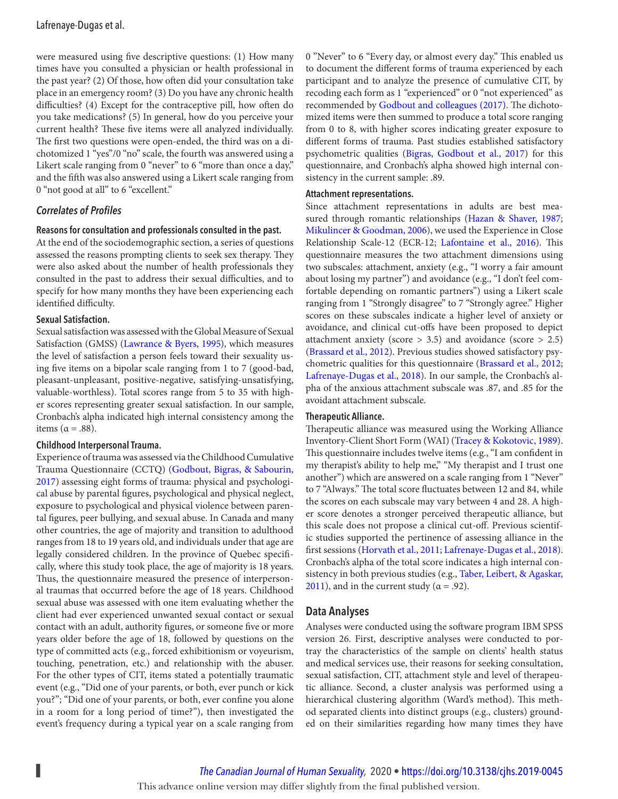## <span id="page-5-0"></span>Lafrenaye-Dugas et al.

were measured using five descriptive questions: (1) How many times have you consulted a physician or health professional in the past year? (2) Of those, how often did your consultation take place in an emergency room? (3) Do you have any chronic health difficulties? (4) Except for the contraceptive pill, how often do you take medications? (5) In general, how do you perceive your current health? These five items were all analyzed individually. The first two questions were open-ended, the third was on a dichotomized 1 "yes"/0 "no" scale, the fourth was answered using a Likert scale ranging from 0 "never" to 6 "more than once a day," and the fifth was also answered using a Likert scale ranging from 0 "not good at all" to 6 "excellent."

#### *Correlates of Profi les*

#### **Reasons for consultation and professionals consulted in the past.**

At the end of the sociodemographic section, a series of questions assessed the reasons prompting clients to seek sex therapy. They were also asked about the number of health professionals they consulted in the past to address their sexual difficulties, and to specify for how many months they have been experiencing each identified difficulty.

#### **Sexual Satisfaction.**

Sexual satisfaction was assessed with the Global Measure of Sexual Satisfaction (GMSS) ([Lawrance & Byers, 1995](#page-12-0)), which measures the level of satisfaction a person feels toward their sexuality using five items on a bipolar scale ranging from 1 to 7 (good-bad, pleasant-unpleasant, positive-negative, satisfying-unsatisfying, valuable-worthless). Total scores range from 5 to 35 with higher scores representing greater sexual satisfaction. In our sample, Cronbach's alpha indicated high internal consistency among the items ( $\alpha = .88$ ).

#### **Childhood Interpersonal Trauma.**

Experience of trauma was assessed via the Childhood Cumulative Trauma Questionnaire (CCTQ) ([Godbout, Bigras, & Sabourin,](#page-12-0) [2017](#page-12-0)) assessing eight forms of trauma: physical and psychological abuse by parental figures, psychological and physical neglect, exposure to psychological and physical violence between parental figures, peer bullying, and sexual abuse. In Canada and many other countries, the age of majority and transition to adulthood ranges from 18 to 19 years old, and individuals under that age are legally considered children. In the province of Quebec specifically, where this study took place, the age of majority is 18 years. Thus, the questionnaire measured the presence of interpersonal traumas that occurred before the age of 18 years. Childhood sexual abuse was assessed with one item evaluating whether the client had ever experienced unwanted sexual contact or sexual contact with an adult, authority figures, or someone five or more years older before the age of 18, followed by questions on the type of committed acts (e.g., forced exhibitionism or voyeurism, touching, penetration, etc.) and relationship with the abuser. For the other types of CIT, items stated a potentially traumatic event (e.g., "Did one of your parents, or both, ever punch or kick you?"; "Did one of your parents, or both, ever confine you alone in a room for a long period of time?"), then investigated the event's frequency during a typical year on a scale ranging from

0 "Never" to 6 "Every day, or almost every day." This enabled us to document the different forms of trauma experienced by each participant and to analyze the presence of cumulative CIT, by recoding each form as 1 "experienced" or 0 "not experienced" as recommended by Godbout and colleagues (2017). The dichotomized items were then summed to produce a total score ranging from 0 to 8, with higher scores indicating greater exposure to different forms of trauma. Past studies established satisfactory psychometric qualities [\(Bigras, Godbout et al., 2017](#page-11-0)) for this questionnaire, and Cronbach's alpha showed high internal consistency in the current sample: .89.

#### **Attachment representations.**

Since attachment representations in adults are best measured through romantic relationships ([Hazan & Shaver, 1987](#page-12-0); [Mikulincer & Goodman, 2006\)](#page-13-0), we used the Experience in Close Relationship Scale-12 (ECR-12; [Lafontaine et al., 2016](#page-12-0)). This questionnaire measures the two attachment dimensions using two subscales: attachment, anxiety (e.g., "I worry a fair amount about losing my partner") and avoidance (e.g., "I don't feel comfortable depending on romantic partners") using a Likert scale ranging from 1 "Strongly disagree" to 7 "Strongly agree." Higher scores on these subscales indicate a higher level of anxiety or avoidance, and clinical cut-offs have been proposed to depict attachment anxiety (score  $> 3.5$ ) and avoidance (score  $> 2.5$ ) (Brassard et al., 2012). Previous studies showed satisfactory psychometric qualities for this questionnaire ([Brassard et al., 2012](#page-11-0); [Lafrenaye-Dugas et al., 2018\)](#page-12-0). In our sample, the Cronbach's alpha of the anxious attachment subscale was .87, and .85 for the avoidant attachment subscale.

#### **Therapeutic Alliance.**

 Therapeutic alliance was measured using the Working Alliance Inventory-Client Short Form (WAI) (Tracey & Kokotovic, 1989). This questionnaire includes twelve items (e.g., "I am confident in my therapist's ability to help me," "My therapist and I trust one another") which are answered on a scale ranging from 1 "Never" to 7 "Always." The total score fluctuates between 12 and 84, while the scores on each subscale may vary between 4 and 28. A higher score denotes a stronger perceived therapeutic alliance, but this scale does not propose a clinical cut-off. Previous scientific studies supported the pertinence of assessing alliance in the first sessions ([Horvath et al., 2011](#page-12-0); [Lafrenaye-Dugas et al., 2018](#page-12-0)). Cronbach's alpha of the total score indicates a high internal consistency in both previous studies (e.g., [Taber, Leibert, & Agaskar,](#page-13-0) [2011](#page-13-0)), and in the current study ( $\alpha$  = .92).

#### **Data Analyses**

Analyses were conducted using the software program IBM SPSS version 26. First, descriptive analyses were conducted to portray the characteristics of the sample on clients' health status and medical services use, their reasons for seeking consultation, sexual satisfaction, CIT, attachment style and level of therapeutic alliance. Second, a cluster analysis was performed using a hierarchical clustering algorithm (Ward's method). This method separated clients into distinct groups (e.g., clusters) grounded on their similarities regarding how many times they have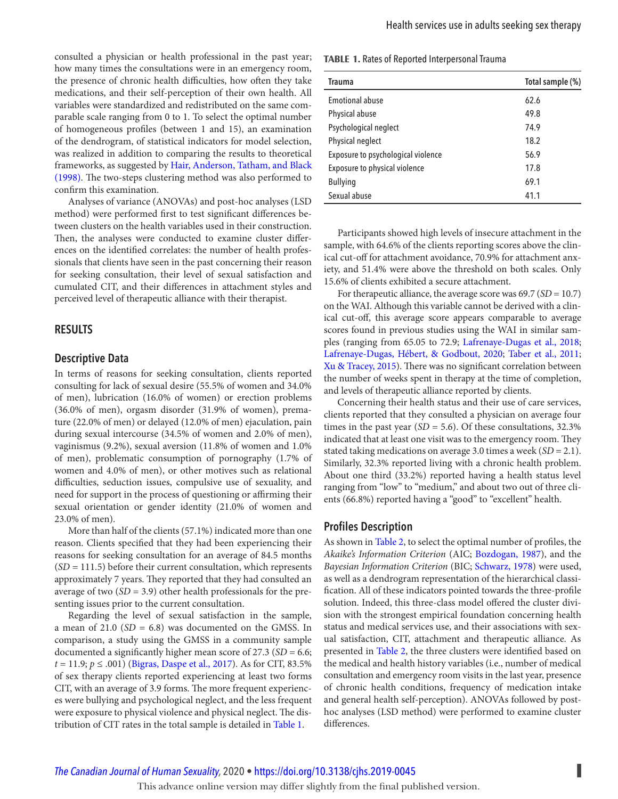<span id="page-6-0"></span>consulted a physician or health professional in the past year; how many times the consultations were in an emergency room, the presence of chronic health difficulties, how often they take medications, and their self-perception of their own health. All variables were standardized and redistributed on the same comparable scale ranging from 0 to 1. To select the optimal number of homogeneous profiles (between 1 and 15), an examination of the dendrogram, of statistical indicators for model selection, was realized in addition to comparing the results to theoretical frameworks, as suggested by [Hair, Anderson, Tatham, and Black](#page-12-0) [\(1998\)](#page-12-0). The two-steps clustering method was also performed to confirm this examination.

Analyses of variance (ANOVAs) and post-hoc analyses (LSD method) were performed first to test significant differences between clusters on the health variables used in their construction. Then, the analyses were conducted to examine cluster differences on the identified correlates: the number of health professionals that clients have seen in the past concerning their reason for seeking consultation, their level of sexual satisfaction and cumulated CIT, and their differences in attachment styles and perceived level of therapeutic alliance with their therapist.

#### **RESULTS**

#### **Descriptive Data**

In terms of reasons for seeking consultation, clients reported consulting for lack of sexual desire (55.5% of women and 34.0% of men), lubrication (16.0% of women) or erection problems (36.0% of men), orgasm disorder (31.9% of women), premature (22.0% of men) or delayed (12.0% of men) ejaculation, pain during sexual intercourse (34.5% of women and 2.0% of men), vaginismus (9.2%), sexual aversion (11.8% of women and 1.0% of men), problematic consumption of pornography (1.7% of women and 4.0% of men), or other motives such as relational difficulties, seduction issues, compulsive use of sexuality, and need for support in the process of questioning or affirming their sexual orientation or gender identity (21.0% of women and 23.0% of men).

More than half of the clients (57.1%) indicated more than one reason. Clients specified that they had been experiencing their reasons for seeking consultation for an average of 84.5 months  $(SD = 111.5)$  before their current consultation, which represents approximately 7 years. They reported that they had consulted an average of two  $(SD = 3.9)$  other health professionals for the presenting issues prior to the current consultation.

Regarding the level of sexual satisfaction in the sample, a mean of 21.0 ( $SD = 6.8$ ) was documented on the GMSS. In comparison, a study using the GMSS in a community sample documented a significantly higher mean score of  $27.3$  ( $SD = 6.6$ ;  $t = 11.9; p ≤ .001)$  ([Bigras, Daspe et al., 2017](#page-11-0)). As for CIT, 83.5% of sex therapy clients reported experiencing at least two forms CIT, with an average of 3.9 forms. The more frequent experiences were bullying and psychological neglect, and the less frequent were exposure to physical violence and physical neglect. The distribution of CIT rates in the total sample is detailed in Table 1.

**TABLE 1.** Rates of Reported Interpersonal Trauma

| Trauma                             | Total sample (%) |
|------------------------------------|------------------|
| <b>Emotional abuse</b>             | 62.6             |
| Physical abuse                     | 49.8             |
| Psychological neglect              | 74.9             |
| Physical neglect                   | 18.2             |
| Exposure to psychological violence | 56.9             |
| Exposure to physical violence      | 17.8             |
| <b>Bullying</b>                    | 69.1             |
| Sexual abuse                       | 41.1             |

Participants showed high levels of insecure attachment in the sample, with 64.6% of the clients reporting scores above the clinical cut-off for attachment avoidance, 70.9% for attachment anxiety, and 51.4% were above the threshold on both scales. Only 15.6% of clients exhibited a secure attachment.

For therapeutic alliance, the average score was  $69.7 (SD = 10.7)$ on the WAI. Although this variable cannot be derived with a clinical cut-off, this average score appears comparable to average scores found in previous studies using the WAI in similar samples (ranging from 65.05 to 72.9; [Lafrenaye-Dugas et al., 2018](#page-12-0); [Lafrenaye-Dugas, Hébert, & Godbout, 2020](#page-12-0); [Taber et al., 2011](#page-13-0); [Xu & Tracey, 2015](#page-13-0)). There was no significant correlation between the number of weeks spent in therapy at the time of completion, and levels of therapeutic alliance reported by clients.

Concerning their health status and their use of care services, clients reported that they consulted a physician on average four times in the past year ( $SD = 5.6$ ). Of these consultations, 32.3% indicated that at least one visit was to the emergency room. They stated taking medications on average 3.0 times a week  $(SD = 2.1)$ . Similarly, 32.3% reported living with a chronic health problem. About one third (33.2%) reported having a health status level ranging from "low" to "medium," and about two out of three clients (66.8%) reported having a "good" to "excellent" health.

#### **Profiles Description**

As shown in [Table 2](#page-7-0), to select the optimal number of profiles, the Akaike's Information Criterion (AIC; [Bozdogan, 1987\)](#page-11-0), and the Bayesian Information Criterion (BIC; [Schwarz, 1978\)](#page-13-0) were used, as well as a dendrogram representation of the hierarchical classification. All of these indicators pointed towards the three-profile solution. Indeed, this three-class model offered the cluster division with the strongest empirical foundation concerning health status and medical services use, and their associations with sexual satisfaction, CIT, attachment and therapeutic alliance. As presented in [Table 2,](#page-7-0) the three clusters were identified based on the medical and health history variables (i.e., number of medical consultation and emergency room visits in the last year, presence of chronic health conditions, frequency of medication intake and general health self-perception). ANOVAs followed by posthoc analyses (LSD method) were performed to examine cluster differences.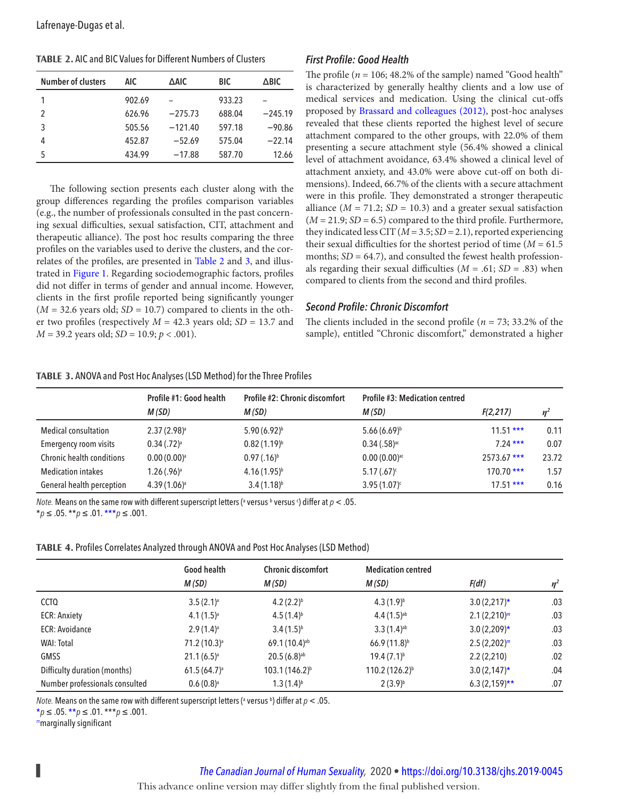<span id="page-7-0"></span>

| <b>TABLE 2. AIC and BIC Values for Different Numbers of Clusters</b> |  |
|----------------------------------------------------------------------|--|
|----------------------------------------------------------------------|--|

| <b>Number of clusters</b> | AIC    | ∆AIC      | BIC    | $\triangle$ BIC |
|---------------------------|--------|-----------|--------|-----------------|
|                           | 902.69 |           | 933.23 |                 |
| 2                         | 626.96 | $-275.73$ | 688.04 | $-245.19$       |
| 3                         | 505.56 | $-121.40$ | 597.18 | $-90.86$        |
| 4                         | 452.87 | $-52.69$  | 575.04 | $-22.14$        |
| 5                         | 434.99 | $-17.88$  | 587.70 | 12.66           |

 The following section presents each cluster along with the group differences regarding the profiles comparison variables (e.g., the number of professionals consulted in the past concerning sexual difficulties, sexual satisfaction, CIT, attachment and therapeutic alliance). The post hoc results comparing the three profiles on the variables used to derive the clusters, and the correlates of the profiles, are presented in Table 2 and 3, and illus-trated in [Figure 1](#page-8-0). Regarding sociodemographic factors, profiles did not differ in terms of gender and annual income. However, clients in the first profile reported being significantly younger  $(M = 32.6$  years old;  $SD = 10.7$ ) compared to clients in the other two profiles (respectively  $M = 42.3$  years old;  $SD = 13.7$  and  $M = 39.2$  years old;  $SD = 10.9; p < .001$ ).

#### *First Profile: Good Health*

The profile ( $n = 106$ ; 48.2% of the sample) named "Good health" is characterized by generally healthy clients and a low use of medical services and medication. Using the clinical cut-offs proposed by Brassard and colleagues (2012), post-hoc analyses revealed that these clients reported the highest level of secure attachment compared to the other groups, with 22.0% of them presenting a secure attachment style (56.4% showed a clinical level of attachment avoidance, 63.4% showed a clinical level of attachment anxiety, and 43.0% were above cut-off on both dimensions). Indeed, 66.7% of the clients with a secure attachment were in this profile. They demonstrated a stronger therapeutic alliance ( $M = 71.2$ ;  $SD = 10.3$ ) and a greater sexual satisfaction  $(M = 21.9; SD = 6.5)$  compared to the third profile. Furthermore, they indicated less CIT ( $M = 3.5$ ; SD = 2.1), reported experiencing their sexual difficulties for the shortest period of time ( $M = 61.5$ ) months;  $SD = 64.7$ ), and consulted the fewest health professionals regarding their sexual difficulties ( $M = .61$ ; SD = .83) when compared to clients from the second and third profiles.

#### *Second Profile: Chronic Discomfort*

The clients included in the second profile ( $n = 73$ ; 33.2% of the sample), entitled "Chronic discomfort," demonstrated a higher

#### **TABLE 3. ANOVA and Post Hoc Analyses (LSD Method) for the Three Profiles**

|                                  | Profile #1: Good health   | <b>Profile #2: Chronic discomfort</b> | Profile #3: Medication centred |              |       |
|----------------------------------|---------------------------|---------------------------------------|--------------------------------|--------------|-------|
|                                  | M(SD)                     | M(SD)                                 | M (SD)                         | F(2,217)     | $n^2$ |
| <b>Medical consultation</b>      | $2.37(2.98)^{a}$          | $5.90(6.92)^{b}$                      | $5.66(6.69)^b$                 | $11.51***$   | 0.11  |
| <b>Emergency room visits</b>     | $0.34$ $(.72)^a$          | $0.82(1.19)^{b}$                      | $0.34$ $(.58)^{ac}$            | $7.24***$    | 0.07  |
| <b>Chronic health conditions</b> | $0.00(0.00)^{a}$          | $0.97$ $(.16)^{b}$                    | $0.00(0.00)$ ac                | $2573.67***$ | 23.72 |
| <b>Medication intakes</b>        | $1.26$ (.96) <sup>a</sup> | $4.16(1.95)^{b}$                      | $5.17(.67)^c$                  | $170.70***$  | 1.57  |
| General health perception        | $4.39(1.06)^a$            | $3.4(1.18)^{b}$                       | $3.95(1.07)^c$                 | $17.51***$   | 0.16  |

*Note.* Means on the same row with different superscript letters (ª versus <sup>b</sup> versus <sup>c</sup>) differ at  $\rho$  < .05.  $**p* ≤ .05. ***p* ≤ .01. ****p* ≤ .001.$ 

| TABLE 4. Profiles Correlates Analyzed through ANOVA and Post Hoc Analyses (LSD Method) |  |
|----------------------------------------------------------------------------------------|--|
|                                                                                        |  |

|                                | Good health              | <b>Chronic discomfort</b> | <b>Medication centred</b>  |                |       |
|--------------------------------|--------------------------|---------------------------|----------------------------|----------------|-------|
|                                | M(SD)                    | M(SD)                     | M(SD)                      | F(df)          | $n^2$ |
| <b>CCTQ</b>                    | $3.5(2.1)$ <sup>a</sup>  | $4.2(2.2)^{b}$            | $4.3(1.9)^{b}$             | $3.0(2,217)^*$ | .03   |
| <b>ECR: Anxiety</b>            | $4.1(1.5)^a$             | $4.5(1.4)^{b}$            | $4.4(1.5)^{ab}$            | $2.1(2,210)^m$ | .03   |
| <b>ECR: Avoidance</b>          | $2.9(1.4)^{a}$           | $3.4(1.5)^{b}$            | $3.3(1.4)$ <sup>ab</sup>   | $3.0(2,209)$ * | .03   |
| <b>WAI: Total</b>              | 71.2 (10.3) <sup>a</sup> | 69.1 (10.4) <sup>ab</sup> | $66.9(11.8)^{b}$           | $2.5(2,202)^m$ | .03   |
| <b>GMSS</b>                    | $21.1(6.5)^{a}$          | $20.5(6.8)^{ab}$          | $19.4(7.1)^{b}$            | 2.2(2,210)     | .02   |
| Difficulty duration (months)   | $61.5(64.7)^a$           | $103.1(146.2)^{b}$        | 110.2 (126.2) <sup>b</sup> | $3.0(2,147)^*$ | .04   |
| Number professionals consulted | $0.6(0.8)^{a}$           | $1.3(1.4)^{b}$            | $2(3.9)^{b}$               | $6.3(2,159)**$ | .07   |

*Note. M*eans on the same row with different superscript letters (<sup>a</sup> versus <sup>b</sup>) differ at  $\rho < .05$ .

 $**p* ≤ .05. ** *p* ≤ .01. *** *p* ≤ .001.$ 

*m*marginally significant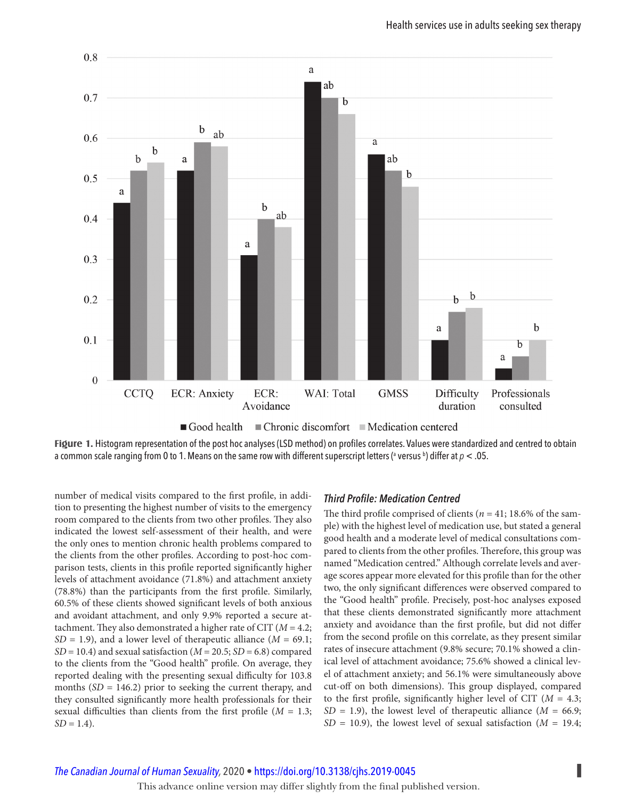<span id="page-8-0"></span>

**Figure 1.** Histogram representation of the post hoc analyses (LSD method) on profiles correlates. Values were standardized and centred to obtain a common scale ranging from 0 to 1. Means on the same row with different superscript letters (ª versus <sup>b</sup>) differ at  $\rho$  < .05.

number of medical visits compared to the first profile, in addition to presenting the highest number of visits to the emergency room compared to the clients from two other profiles. They also indicated the lowest self-assessment of their health, and were the only ones to mention chronic health problems compared to the clients from the other profiles. According to post-hoc comparison tests, clients in this profile reported significantly higher levels of attachment avoidance (71.8%) and attachment anxiety  $(78.8%)$  than the participants from the first profile. Similarly, 60.5% of these clients showed significant levels of both anxious and avoidant attachment, and only 9.9% reported a secure attachment. They also demonstrated a higher rate of CIT ( $M = 4.2$ ;  $SD = 1.9$ ), and a lower level of therapeutic alliance ( $M = 69.1$ ;  $SD = 10.4$ ) and sexual satisfaction ( $M = 20.5$ ;  $SD = 6.8$ ) compared to the clients from the "Good health" profile. On average, they reported dealing with the presenting sexual difficulty for 103.8 months  $(SD = 146.2)$  prior to seeking the current therapy, and they consulted significantly more health professionals for their sexual difficulties than clients from the first profile ( $M = 1.3$ ;  $SD = 1.4$ ).

## *Third Profile: Medication Centred*

The third profile comprised of clients ( $n = 41$ ; 18.6% of the sample) with the highest level of medication use, but stated a general good health and a moderate level of medical consultations compared to clients from the other profiles. Therefore, this group was named "Medication centred." Although correlate levels and average scores appear more elevated for this profile than for the other two, the only significant differences were observed compared to the "Good health" profile. Precisely, post-hoc analyses exposed that these clients demonstrated significantly more attachment anxiety and avoidance than the first profile, but did not differ from the second profile on this correlate, as they present similar rates of insecure attachment (9.8% secure; 70.1% showed a clinical level of attachment avoidance; 75.6% showed a clinical level of attachment anxiety; and 56.1% were simultaneously above cut-off on both dimensions). This group displayed, compared to the first profile, significantly higher level of CIT ( $M = 4.3$ ;  $SD = 1.9$ ), the lowest level of therapeutic alliance ( $M = 66.9$ ;  $SD = 10.9$ ), the lowest level of sexual satisfaction ( $M = 19.4$ ;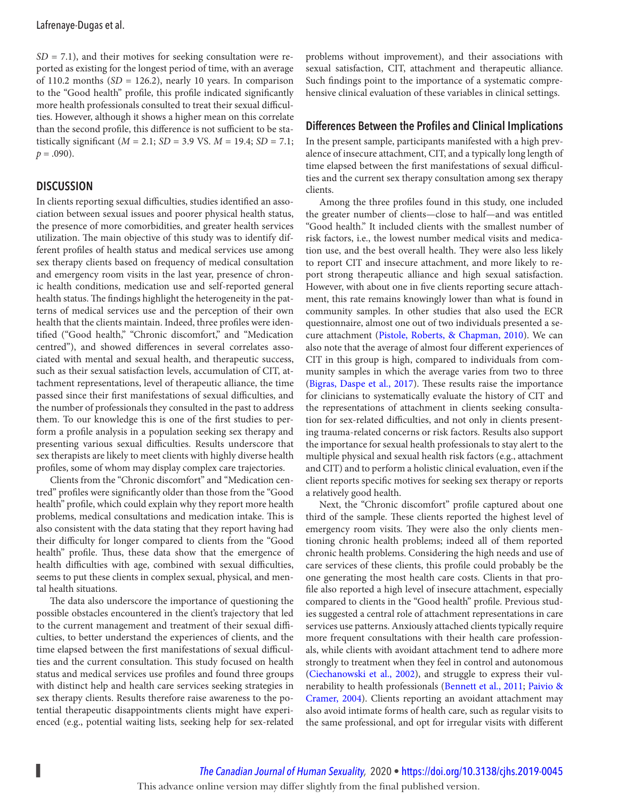<span id="page-9-0"></span> $SD = 7.1$ ), and their motives for seeking consultation were reported as existing for the longest period of time, with an average of 110.2 months  $(SD = 126.2)$ , nearly 10 years. In comparison to the "Good health" profile, this profile indicated significantly more health professionals consulted to treat their sexual difficulties. However, although it shows a higher mean on this correlate than the second profile, this difference is not sufficient to be statistically significant ( $M = 2.1$ ;  $SD = 3.9$  VS.  $M = 19.4$ ;  $SD = 7.1$ ;  $p = .090$ ).

## **DISCUSSION**

In clients reporting sexual difficulties, studies identified an association between sexual issues and poorer physical health status, the presence of more comorbidities, and greater health services utilization. The main objective of this study was to identify different profiles of health status and medical services use among sex therapy clients based on frequency of medical consultation and emergency room visits in the last year, presence of chronic health conditions, medication use and self-reported general health status. The findings highlight the heterogeneity in the patterns of medical services use and the perception of their own health that the clients maintain. Indeed, three profiles were identified ("Good health," "Chronic discomfort," and "Medication centred"), and showed differences in several correlates associated with mental and sexual health, and therapeutic success, such as their sexual satisfaction levels, accumulation of CIT, attachment representations, level of therapeutic alliance, the time passed since their first manifestations of sexual difficulties, and the number of professionals they consulted in the past to address them. To our knowledge this is one of the first studies to perform a profile analysis in a population seeking sex therapy and presenting various sexual difficulties. Results underscore that sex therapists are likely to meet clients with highly diverse health profiles, some of whom may display complex care trajectories.

Clients from the "Chronic discomfort" and "Medication centred" profiles were significantly older than those from the "Good health" profile, which could explain why they report more health problems, medical consultations and medication intake. This is also consistent with the data stating that they report having had their difficulty for longer compared to clients from the "Good health" profile. Thus, these data show that the emergence of health difficulties with age, combined with sexual difficulties, seems to put these clients in complex sexual, physical, and mental health situations.

 The data also underscore the importance of questioning the possible obstacles encountered in the client's trajectory that led to the current management and treatment of their sexual difficulties, to better understand the experiences of clients, and the time elapsed between the first manifestations of sexual difficulties and the current consultation. This study focused on health status and medical services use profiles and found three groups with distinct help and health care services seeking strategies in sex therapy clients. Results therefore raise awareness to the potential therapeutic disappointments clients might have experienced (e.g., potential waiting lists, seeking help for sex-related

problems without improvement), and their associations with sexual satisfaction, CIT, attachment and therapeutic alliance. Such findings point to the importance of a systematic comprehensive clinical evaluation of these variables in clinical settings.

#### **Differences Between the Profiles and Clinical Implications**

In the present sample, participants manifested with a high prevalence of insecure attachment, CIT, and a typically long length of time elapsed between the first manifestations of sexual difficulties and the current sex therapy consultation among sex therapy clients.

Among the three profiles found in this study, one included the greater number of clients—close to half—and was entitled "Good health." It included clients with the smallest number of risk factors, i.e., the lowest number medical visits and medication use, and the best overall health. They were also less likely to report CIT and insecure attachment, and more likely to report strong therapeutic alliance and high sexual satisfaction. However, with about one in five clients reporting secure attachment, this rate remains knowingly lower than what is found in community samples. In other studies that also used the ECR questionnaire, almost one out of two individuals presented a secure attachment ([Pistole, Roberts, & Chapman, 2010](#page-13-0)). We can also note that the average of almost four different experiences of CIT in this group is high, compared to individuals from community samples in which the average varies from two to three ([Bigras, Daspe et al., 2017](#page-11-0)). These results raise the importance for clinicians to systematically evaluate the history of CIT and the representations of attachment in clients seeking consultation for sex-related difficulties, and not only in clients presenting trauma-related concerns or risk factors. Results also support the importance for sexual health professionals to stay alert to the multiple physical and sexual health risk factors (e.g., attachment and CIT) and to perform a holistic clinical evaluation, even if the client reports specific motives for seeking sex therapy or reports a relatively good health.

Next, the "Chronic discomfort" profile captured about one third of the sample. These clients reported the highest level of emergency room visits. They were also the only clients mentioning chronic health problems; indeed all of them reported chronic health problems. Considering the high needs and use of care services of these clients, this profile could probably be the one generating the most health care costs. Clients in that profile also reported a high level of insecure attachment, especially compared to clients in the "Good health" profile. Previous studies suggested a central role of attachment representations in care services use patterns. Anxiously attached clients typically require more frequent consultations with their health care professionals, while clients with avoidant attachment tend to adhere more strongly to treatment when they feel in control and autonomous ([Ciechanowski et al., 2002](#page-11-0)), and struggle to express their vulnerability to health professionals ([Bennett et al., 2011](#page-11-0); [Paivio &](#page-13-0) [Cramer, 2004](#page-13-0)). Clients reporting an avoidant attachment may also avoid intimate forms of health care, such as regular visits to the same professional, and opt for irregular visits with different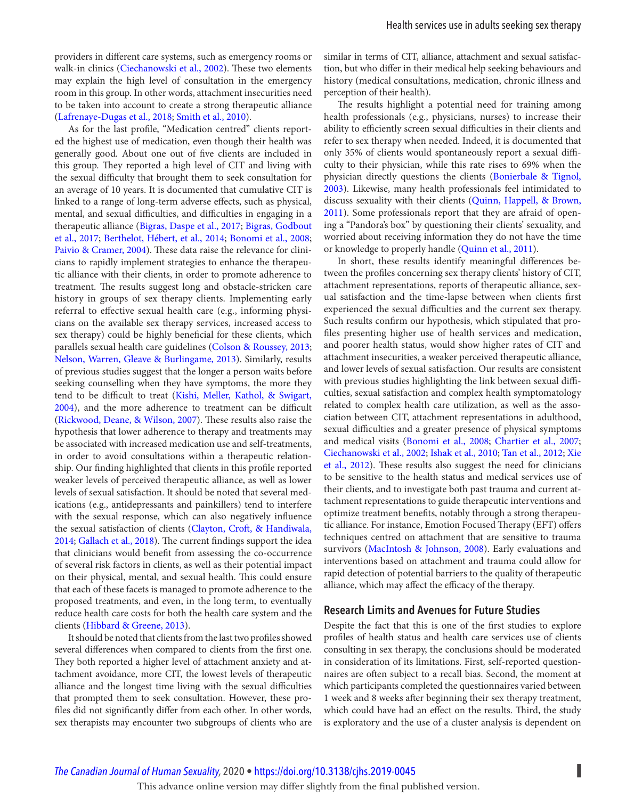<span id="page-10-0"></span>providers in different care systems, such as emergency rooms or walk-in clinics ([Ciechanowski et al., 2002](#page-11-0)). These two elements may explain the high level of consultation in the emergency room in this group. In other words, attachment insecurities need to be taken into account to create a strong therapeutic alliance ( [Lafrenaye-Dugas et al., 2018](#page-12-0); [Smith et al., 2010](#page-13-0)).

As for the last profile, "Medication centred" clients reported the highest use of medication, even though their health was generally good. About one out of five clients are included in this group. They reported a high level of CIT and living with the sexual difficulty that brought them to seek consultation for an average of 10 years. It is documented that cumulative CIT is linked to a range of long-term adverse effects, such as physical, mental, and sexual difficulties, and difficulties in engaging in a therapeutic alliance ([Bigras, Daspe et al., 2017](#page-11-0); [Bigras, Godbout](#page-11-0) [et al., 2017](#page-11-0); [Berthelot, Hébert, et al., 2014](#page-11-0); [Bonomi et al., 2008](#page-11-0); [Paivio & Cramer, 2004](#page-13-0)). These data raise the relevance for clinicians to rapidly implement strategies to enhance the therapeutic alliance with their clients, in order to promote adherence to treatment. The results suggest long and obstacle-stricken care history in groups of sex therapy clients. Implementing early referral to effective sexual health care (e.g., informing physicians on the available sex therapy services, increased access to sex therapy) could be highly beneficial for these clients, which parallels sexual health care guidelines (Colson & Roussey, 2013; [Nelson, Warren, Gleave & Burlingame, 2013](#page-13-0)). Similarly, results of previous studies suggest that the longer a person waits before seeking counselling when they have symptoms, the more they tend to be difficult to treat ([Kishi, Meller, Kathol, & Swigart,](#page-12-0) [2004](#page-12-0)), and the more adherence to treatment can be difficult ([Rickwood, Deane, & Wilson, 2007](#page-13-0)). These results also raise the hypothesis that lower adherence to therapy and treatments may be associated with increased medication use and self-treatments, in order to avoid consultations within a therapeutic relationship. Our finding highlighted that clients in this profile reported weaker levels of perceived therapeutic alliance, as well as lower levels of sexual satisfaction. It should be noted that several medications (e.g., antidepressants and painkillers) tend to interfere with the sexual response, which can also negatively influence the sexual satisfaction of clients ([Clayton, Croft, & Handiwala,](#page-11-0) [2014](#page-11-0); [Gallach et al., 2018](#page-12-0)). The current findings support the idea that clinicians would benefit from assessing the co-occurrence of several risk factors in clients, as well as their potential impact on their physical, mental, and sexual health. This could ensure that each of these facets is managed to promote adherence to the proposed treatments, and even, in the long term, to eventually reduce health care costs for both the health care system and the clients ([Hibbard & Greene, 2013](#page-12-0)).

It should be noted that clients from the last two profiles showed several differences when compared to clients from the first one. They both reported a higher level of attachment anxiety and attachment avoidance, more CIT, the lowest levels of therapeutic alliance and the longest time living with the sexual difficulties that prompted them to seek consultation. However, these profiles did not significantly differ from each other. In other words, sex therapists may encounter two subgroups of clients who are similar in terms of CIT, alliance, attachment and sexual satisfaction, but who differ in their medical help seeking behaviours and history (medical consultations, medication, chronic illness and perception of their health).

 The results highlight a potential need for training among health professionals (e.g., physicians, nurses) to increase their ability to efficiently screen sexual difficulties in their clients and refer to sex therapy when needed. Indeed, it is documented that only 35% of clients would spontaneously report a sexual difficulty to their physician, while this rate rises to 69% when the physician directly questions the clients ([Bonierbale & Tignol,](#page-11-0) [2003](#page-11-0)). Likewise, many health professionals feel intimidated to discuss sexuality with their clients ([Quinn, Happell, & Brown,](#page-13-0)  [2011](#page-13-0)). Some professionals report that they are afraid of opening a "Pandora's box" by questioning their clients' sexuality, and worried about receiving information they do not have the time or knowledge to properly handle ([Quinn et al., 2011](#page-13-0)).

In short, these results identify meaningful differences between the profiles concerning sex therapy clients' history of CIT, attachment representations, reports of therapeutic alliance, sexual satisfaction and the time-lapse between when clients first experienced the sexual difficulties and the current sex therapy. Such results confirm our hypothesis, which stipulated that profiles presenting higher use of health services and medication, and poorer health status, would show higher rates of CIT and attachment insecurities, a weaker perceived therapeutic alliance, and lower levels of sexual satisfaction. Our results are consistent with previous studies highlighting the link between sexual difficulties, sexual satisfaction and complex health symptomatology related to complex health care utilization, as well as the association between CIT, attachment representations in adulthood, sexual difficulties and a greater presence of physical symptoms and medical visits ([Bonomi et al., 2008](#page-11-0); [Chartier et al., 2007](#page-11-0); [Ciechanowski et al., 2002](#page-11-0); [Ishak et al., 2010](#page-12-0); [Tan et al., 2012](#page-13-0); [Xie](#page-13-0) [et al., 2012](#page-13-0)). These results also suggest the need for clinicians to be sensitive to the health status and medical services use of their clients, and to investigate both past trauma and current attachment representations to guide therapeutic interventions and optimize treatment benefits, notably through a strong therapeutic alliance. For instance, Emotion Focused Therapy (EFT) offers techniques centred on attachment that are sensitive to trauma survivors ([MacIntosh & Johnson, 2008](#page-13-0)). Early evaluations and interventions based on attachment and trauma could allow for rapid detection of potential barriers to the quality of therapeutic alliance, which may affect the efficacy of the therapy.

## **Research Limits and Avenues for Future Studies**

Despite the fact that this is one of the first studies to explore profiles of health status and health care services use of clients consulting in sex therapy, the conclusions should be moderated in consideration of its limitations. First, self-reported questionnaires are often subject to a recall bias. Second, the moment at which participants completed the questionnaires varied between 1 week and 8 weeks after beginning their sex therapy treatment, which could have had an effect on the results. Third, the study is exploratory and the use of a cluster analysis is dependent on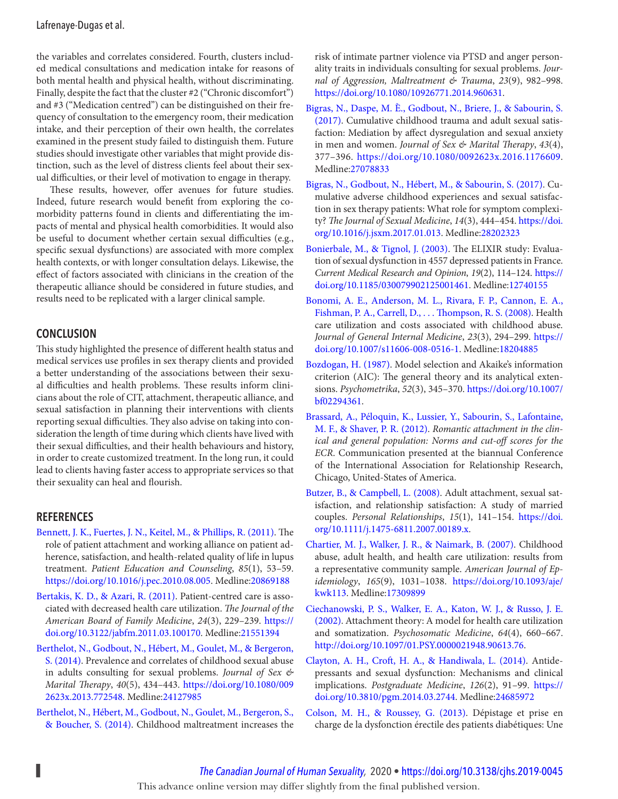<span id="page-11-0"></span>the variables and correlates considered. Fourth, clusters included medical consultations and medication intake for reasons of both mental health and physical health, without discriminating. Finally, despite the fact that the cluster #2 ("Chronic discomfort") and #3 ("Medication centred") can be distinguished on their frequency of consultation to the emergency room, their medication intake, and their perception of their own health, the correlates examined in the present study failed to distinguish them. Future studies should investigate other variables that might provide distinction, such as the level of distress clients feel about their sexual difficulties, or their level of motivation to engage in therapy.

 These results, however, offer avenues for future studies. Indeed, future research would benefit from exploring the comorbidity patterns found in clients and differentiating the impacts of mental and physical health comorbidities. It would also be useful to document whether certain sexual difficulties (e.g., specific sexual dysfunctions) are associated with more complex health contexts, or with longer consultation delays. Likewise, the effect of factors associated with clinicians in the creation of the therapeutic alliance should be considered in future studies, and results need to be replicated with a larger clinical sample.

## **CONCLUSION**

 This study highlighted the presence of different health status and medical services use profiles in sex therapy clients and provided a better understanding of the associations between their sexual difficulties and health problems. These results inform clinicians about the role of CIT, attachment, therapeutic alliance, and sexual satisfaction in planning their interventions with clients reporting sexual difficulties. They also advise on taking into consideration the length of time during which clients have lived with their sexual difficulties, and their health behaviours and history, in order to create customized treatment. In the long run, it could lead to clients having faster access to appropriate services so that their sexuality can heal and flourish.

#### **REFERENCES**

- Bennett, J. K., Fuertes, J. N., Keitel, M., & Phillips, R. (2011). The role of patient attachment and working alliance on patient adherence, satisfaction, and health-related quality of life in lupus treatment. Patient Education and Counseling, 85(1), 53-59. <https://doi.org/10.1016/j.pec.2010.08.005> . Medline:[20869188](https://preview.ncbi.nlm.nih.gov/pubmed/?term=20869188)
- Bertakis, K. D., & Azari, R. (2011). Patient-centred care is associated with decreased health care utilization. The Journal of the American Board of Family Medicine, 24(3), 229-239. [https://](https://doi.org/10.3122/jabfm.2011.03.100170) [doi.org/10.3122/jabfm.2011.03.100170 .](https://doi.org/10.3122/jabfm.2011.03.100170) Medline:[21551394](https://preview.ncbi.nlm.nih.gov/pubmed/?term=21551394)
- Berthelot, N., Godbout, N., Hébert, M., Goulet, M., & Bergeron, S. (2014). Prevalence and correlates of childhood sexual abuse in adults consulting for sexual problems. Journal of Sex  $\mathcal{L}$ Marital Therapy, 40(5), 434-443. [https://doi.org/10.1080/009](https://doi.org/10.1080/0092623x.2013.772548) [2623x.2013.772548](https://doi.org/10.1080/0092623x.2013.772548) . Medline:[24127985](https://preview.ncbi.nlm.nih.gov/pubmed/?term=24127985)
- Berthelot, N., Hébert, M., Godbout, N., Goulet, M., Bergeron, S., & Boucher, S. (2014). Childhood maltreatment increases the

risk of intimate partner violence via PTSD and anger personality traits in individuals consulting for sexual problems. Journal of Aggression, Maltreatment & Trauma, 23(9), 982-998. <https://doi.org/10.1080/10926771.2014.960631> .

- Bigras, N., Daspe, M. È., Godbout, N., Briere, J., & Sabourin, S. (2017). Cumulative childhood trauma and adult sexual satisfaction: Mediation by affect dysregulation and sexual anxiety in men and women. Journal of Sex & Marital Therapy, 43(4), 377 – 396 . <https://doi.org/10.1080/0092623x.2016.1176609> . Medline:[27078833](https://preview.ncbi.nlm.nih.gov/pubmed/?term=27078833)
- Bigras, N., Godbout, N., Hébert, M., & Sabourin, S. (2017). Cumulative adverse childhood experiences and sexual satisfaction in sex therapy patients: What role for symptom complexity? The Journal of Sexual Medicine, 14(3), 444-454. [https://doi.](https://doi.org/10.1016/j.jsxm.2017.01.013) [org/10.1016/j.jsxm.2017.01.013](https://doi.org/10.1016/j.jsxm.2017.01.013) . Medline:[28202323](https://preview.ncbi.nlm.nih.gov/pubmed/?term=28202323)
- Bonierbale, M., & Tignol, J. (2003). The ELIXIR study: Evaluation of sexual dysfunction in 4557 depressed patients in France. Current Medical Research and Opinion, 19(2), 114-124. [https://](https://doi.org/10.1185/030079902125001461) [doi.org/10.1185/030079902125001461](https://doi.org/10.1185/030079902125001461) . Medline:[12740155](https://preview.ncbi.nlm.nih.gov/pubmed/?term=12740155)
- Bonomi, A. E., Anderson, M. L., Rivara, F. P., Cannon, E. A., Fishman, P. A., Carrell, D., . . . Thompson, R. S. (2008). Health care utilization and costs associated with childhood abuse. Journal of General Internal Medicine, 23(3), 294-299. [https://](https://doi.org/10.1007/s11606-008-0516-1) [doi.org/10.1007/s11606-008-0516-1](https://doi.org/10.1007/s11606-008-0516-1) . Medline:[18204885](https://preview.ncbi.nlm.nih.gov/pubmed/?term=18204885)
- Bozdogan, H. (1987). Model selection and Akaike's information criterion (AIC): The general theory and its analytical extensions. Psychometrika, 52(3), 345-370. [https://doi.org/10.1007/](https://doi.org/10.1007/bf02294361) [bf02294361](https://doi.org/10.1007/bf02294361).
- Brassard, A., Péloquin, K., Lussier, Y., Sabourin, S., Lafontaine, M. F., & Shaver, P. R. (2012). Romantic attachment in the clinical and general population: Norms and cut-off scores for the ECR. Communication presented at the biannual Conference of the International Association for Relationship Research, Chicago, United-States of America .
- Butzer, B., & Campbell, L. (2008). Adult attachment, sexual satisfaction, and relationship satisfaction: A study of married couples. Personal Relationships, 15(1), 141-154. [https://doi.](https://doi.org/10.1111/j.1475-6811.2007.00189.x) [org/10.1111/j.1475-6811.2007.00189.x](https://doi.org/10.1111/j.1475-6811.2007.00189.x) .
- Chartier, M. J., Walker, J. R., & Naimark, B. (2007). Childhood abuse, adult health, and health care utilization: results from a representative community sample. American Journal of Epidemiology, 165(9), 1031-1038. [https://doi.org/10.1093/aje/](https://doi.org/10.1093/aje/kwk113) [kwk113](https://doi.org/10.1093/aje/kwk113) . Medline:[17309899](https://preview.ncbi.nlm.nih.gov/pubmed/?term=17309899)
- Ciechanowski, P. S., Walker, E. A., Katon, W. J., & Russo, J. E. (2002). Attachment theory: A model for health care utilization and somatization. Psychosomatic Medicine, 64(4), 660-667. <http://doi.org/10.1097/01.PSY.0000021948.90613.76> .
- Clayton, A. H., Croft, H. A., & Handiwala, L. (2014). Antidepressants and sexual dysfunction: Mechanisms and clinical implications. Postgraduate Medicine, 126(2), 91-99. [https://](https://doi.org/10.3810/pgm.2014.03.2744) [doi.org/10.3810/pgm.2014.03.2744](https://doi.org/10.3810/pgm.2014.03.2744) . Medline:[24685972](https://preview.ncbi.nlm.nih.gov/pubmed/?term=24685972)
- Colson, M. H., & Roussey, G. (2013). Dépistage et prise en charge de la dysfonction érectile des patients diabétiques: Une

**▌** *[The Canadian Journal of Human Sexuality](https://www.utpjournals.press/loi/cjhs),* 2020 • <https://doi.org/10.3138/cjhs.2019-0045> This advance online version may differ slightly from the final published version.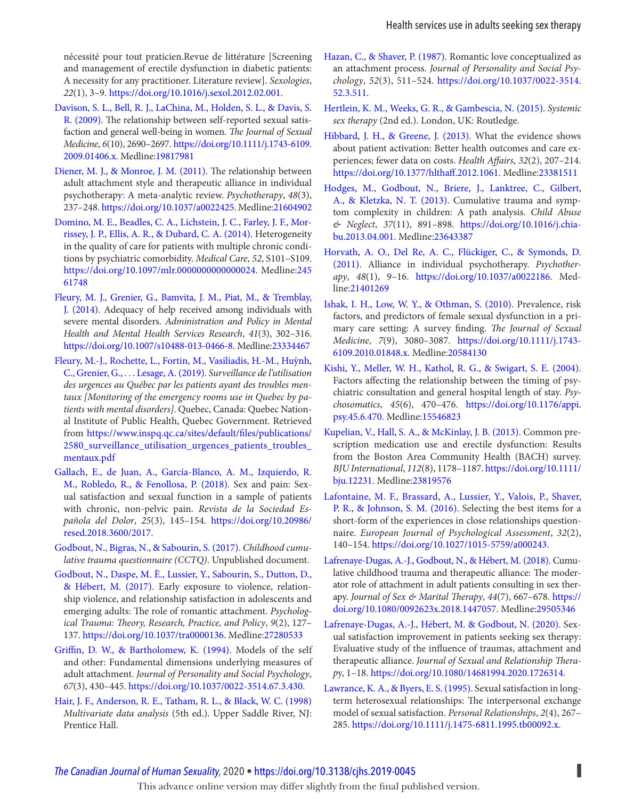<span id="page-12-0"></span>nécessité pour tout praticien. Revue de littérature [Screening and management of erectile dysfunction in diabetic patients: A necessity for any practitioner. Literature review]. Sexologies, 22(1), 3-9.<https://doi.org/10.1016/j.sexol.2012.02.001>.

- Davison, S. L., Bell, R. J., LaChina, M., Holden, S. L., & Davis, S. R. (2009). The relationship between self-reported sexual satisfaction and general well-being in women. The Journal of Sexual Medicine, 6(10), 2690-2697. [https://doi.org/10.1111/j.1743-6109.](https://doi.org/10.1111/j.1743-6109.2009.01406.x) [2009.01406.x](https://doi.org/10.1111/j.1743-6109.2009.01406.x) . Medline:[19817981](https://preview.ncbi.nlm.nih.gov/pubmed/?term=19817981)
- Diener, M. J., & Monroe, J. M. (2011). The relationship between adult attachment style and therapeutic alliance in individual psychotherapy: A meta-analytic review. Psychotherapy, 48(3), 237 – 248 .<https://doi.org/10.1037/a0022425> . Medline:[21604902](https://preview.ncbi.nlm.nih.gov/pubmed/?term=21604902)
- Domino, M. E., Beadles, C. A., Lichstein, J. C., Farley, J. F., Morrissey, J. P., Ellis, A. R., & Dubard, C. A. (2014). Heterogeneity in the quality of care for patients with multiple chronic conditions by psychiatric comorbidity. Medical Care, 52, S101-S109. <https://doi.org/10.1097/mlr.0000000000000024> . Medline:[245](https://preview.ncbi.nlm.nih.gov/pubmed/?term=24561748) [61748](https://preview.ncbi.nlm.nih.gov/pubmed/?term=24561748)
- Fleury, M. J., Grenier, G., Bamvita, J. M., Piat, M., & Tremblay, J. (2014). Adequacy of help received among individuals with severe mental disorders. Administration and Policy in Mental Health and Mental Health Services Research, 41(3), 302-316. <https://doi.org/10.1007/s10488-013-0466-8> . Medline:[23334467](https://preview.ncbi.nlm.nih.gov/pubmed/?term=23334467)
- Fleury, M.-J., Rochette, L., Fortin, M., Vasiliadis, H.-M., Huỳnh, C., Grenier, G., ... Lesage, A. (2019). Surveillance de l'utilisation des urgences au Québec par les patients ayant des troubles mentaux [Monitoring of the emergency rooms use in Quebec by patients with mental disorders]. Quebec, Canada: Quebec National Institute of Public Health, Quebec Government. Retrieved from https://www.inspq.qc.ca/sites/default/files/publications/ [2580\\_surveillance\\_utilisation\\_urgences\\_patients\\_troubles\\_](https://www.inspq.qc.ca/sites/default/files/publications/2580_surveillance_utilisation_urgences_patients_troubles_mentaux.pdf) [mentaux.pdf](https://www.inspq.qc.ca/sites/default/files/publications/2580_surveillance_utilisation_urgences_patients_troubles_mentaux.pdf)
- Gallach, E., de Juan, A., García-Blanco, A. M., Izquierdo, R. M., Robledo, R., & Fenollosa, P. (2018). Sex and pain: Sexual satisfaction and sexual function in a sample of patients with chronic, non-pelvic pain. Revista de la Sociedad Española del Dolor, 25(3), 145-154. [https://doi.org/10.20986/](https://doi.org/10.20986/resed.2018.3600/2017) [resed.2018.3600/2017 .](https://doi.org/10.20986/resed.2018.3600/2017)
- Godbout, N., Bigras, N., & Sabourin, S. (2017). Childhood cumulative trauma questionnaire (CCTQ). Unpublished document.
- Godbout, N., Daspe, M. È., Lussier, Y., Sabourin, S., Dutton, D., & Hébert, M. (2017). Early exposure to violence, relationship violence, and relationship satisfaction in adolescents and emerging adults: The role of romantic attachment. Psychological Trauma: Theory, Research, Practice, and Policy, 9(2), 127-137 . <https://doi.org/10.1037/tra0000136> . Medline:[27280533](https://preview.ncbi.nlm.nih.gov/pubmed/?term=27280533)
- Griffin, D. W., & Bartholomew, K. (1994). Models of the self and other: Fundamental dimensions underlying measures of adult attachment. Journal of Personality and Social Psychology, 67(3), 430-445.<https://doi.org/10.1037/0022-3514.67.3.430>.
- Hair, J. F., Anderson, R. E., Tatham, R. L., & Black, W. C. (1998) Multivariate data analysis (5th ed.). Upper Saddle River, NJ: Prentice Hall.
- Hazan, C., & Shaver, P. (1987). Romantic love conceptualized as an attachment process. Journal of Personality and Social Psychology, 52(3), 511-524. [https://doi.org/10.1037/0022-3514.](https://doi.org/10.1037/0022-3514.52.3.511) [52.3.511](https://doi.org/10.1037/0022-3514.52.3.511) .
- Hertlein, K. M., Weeks, G. R., & Gambescia, N. (2015). Systemic sex therapy (2nd ed.). London, UK: Routledge.
- Hibbard, J. H., & Greene, J. (2013). What the evidence shows about patient activation: Better health outcomes and care experiences; fewer data on costs. Health Affairs, 32(2), 207-214. https://doi.org/10.1377/hlthaff.2012.1061. Medline:23381511
- Hodges, M., Godbout, N., Briere, J., Lanktree, C., Gilbert, A., & Kletzka, N. T. (2013). Cumulative trauma and symptom complexity in children: A path analysis. Child Abuse & Neglect, 37(11), 891-898. [https://doi.org/10.1016/j.chia](https://doi.org/10.1016/j.chiabu.2013.04.001)[bu.2013.04.001](https://doi.org/10.1016/j.chiabu.2013.04.001). Medline:23643387
- Horvath, A. O., Del Re, A. C., Flückiger, C., & Symonds, D. (2011). Alliance in individual psychotherapy. Psychotherapy, 48(1), 9-16. <https://doi.org/10.1037/a0022186>. Medline:[21401269](https://preview.ncbi.nlm.nih.gov/pubmed/?term=21401269)
- Ishak, I. H., Low, W. Y., & Othman, S. (2010). Prevalence, risk factors, and predictors of female sexual dysfunction in a primary care setting: A survey finding. The Journal of Sexual Medicine, 7(9), 3080-3087. [https://doi.org/10.1111/j.1743-](https://doi.org/10.1111/j.1743-6109.2010.01848.x) [6109.2010.01848.x](https://doi.org/10.1111/j.1743-6109.2010.01848.x) . Medline:[20584130](https://preview.ncbi.nlm.nih.gov/pubmed/?term=20584130)
- Kishi, Y., Meller, W. H., Kathol, R. G., & Swigart, S. E. (2004). Factors affecting the relationship between the timing of psychiatric consultation and general hospital length of stay. Psychosomatics, 45(6), 470-476. [https://doi.org/10.1176/appi.](https://doi.org/10.1176/appi.psy.45.6.470) [psy.45.6.470](https://doi.org/10.1176/appi.psy.45.6.470) . Medline:[15546823](https://preview.ncbi.nlm.nih.gov/pubmed/?term=15546823)
- Kupelian, V., Hall, S. A., & McKinlay, J. B. (2013). Common prescription medication use and erectile dysfunction: Results from the Boston Area Community Health (BACH) survey. BJU International, 112(8), 1178-1187. [https://doi.org/10.1111/](https://doi.org/10.1111/bju.12231) [bju.12231](https://doi.org/10.1111/bju.12231) . Medline:[23819576](https://preview.ncbi.nlm.nih.gov/pubmed/?term=23819576)
- Lafontaine, M. F., Brassard, A., Lussier, Y., Valois, P., Shaver, P. R., & Johnson, S. M. (2016). Selecting the best items for a short-form of the experiences in close relationships questionnaire. European Journal of Psychological Assessment, 32(2), 140 – 154 . <https://doi.org/10.1027/1015-5759/a000243> .
- Lafrenaye-Dugas, A.-J., Godbout, N., & Hébert, M. (2018). Cumulative childhood trauma and therapeutic alliance: The moderator role of attachment in adult patients consulting in sex therapy. Journal of Sex & Marital Therapy, 44(7), 667-678. [https://](https://doi.org/10.1080/0092623x.2018.1447057) [doi.org/10.1080/0092623x.2018.1447057](https://doi.org/10.1080/0092623x.2018.1447057) . Medline:[29505346](https://preview.ncbi.nlm.nih.gov/pubmed/?term=29505346)
- Lafrenaye-Dugas, A.-J., Hébert, M. & Godbout, N. (2020). Sexual satisfaction improvement in patients seeking sex therapy: Evaluative study of the influence of traumas, attachment and therapeutic alliance. Journal of Sexual and Relationship Therapy, 1-18.<https://doi.org/10.1080/14681994.2020.1726314>.
- Lawrance, K. A., & Byers, E. S. (1995). Sexual satisfaction in longterm heterosexual relationships: The interpersonal exchange model of sexual satisfaction. Personal Relationships, 2(4), 267-285 . <https://doi.org/10.1111/j.1475-6811.1995.tb00092.x> .

## *[The Canadian Journal of Human Sexuality](https://www.utpjournals.press/loi/cjhs),* 2020 • <https://doi.org/10.3138/cjhs.2019-0045> **▌**